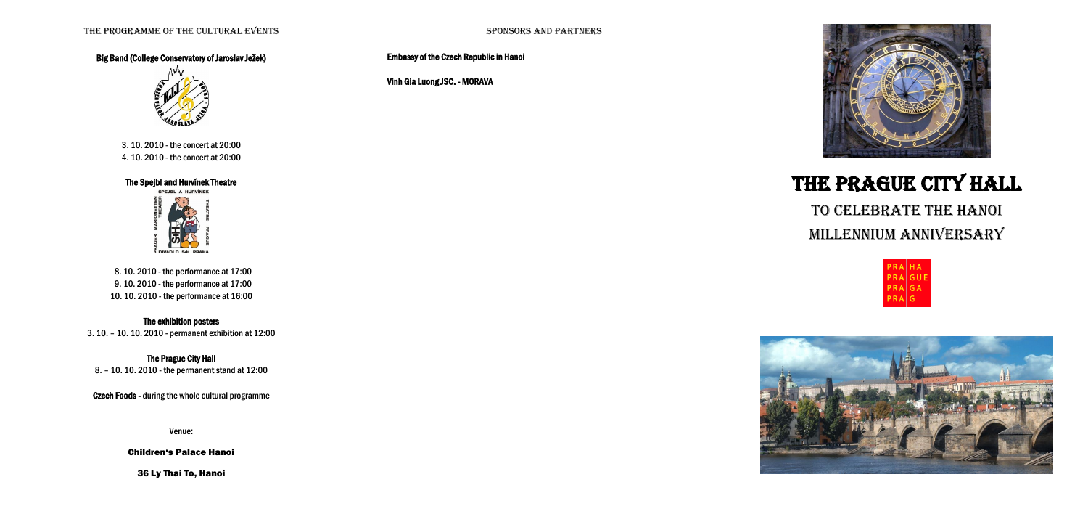### Big Band (College Conservatory of Jaroslav Ježek)



3. 10. 2010 - the concert at 20:00 4. 10. 2010 - the concert at 20:00

## The Spejbl and Hurvínek Theatre



 8. 10. 2010 - the performance at 17:00 9. 10. 2010 - the performance at 17:00 10. 10. 2010 - the performance at 16:00

### The exhibition posters

3. 10. – 10. 10. 2010 - permanent exhibition at 12:00

### The Prague City Hall

8. – 10. 10. 2010 - the permanent stand at 12:00

Czech Foods - during the whole cultural programme

Venue:

### Children's Palace Hanoi

36 Ly Thai To, Hanoi

Embassy of the Czech Republic in Hanoi

Vinh Gia Luong JSC. - MORAVA



# The Prague City Hall

# to celebrate the Hanoi millennium anniversary